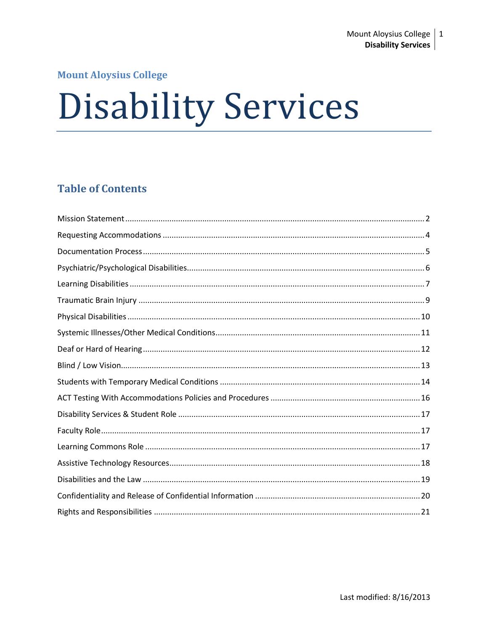## **Mount Aloysius College**

# **Disability Services**

# **Table of Contents**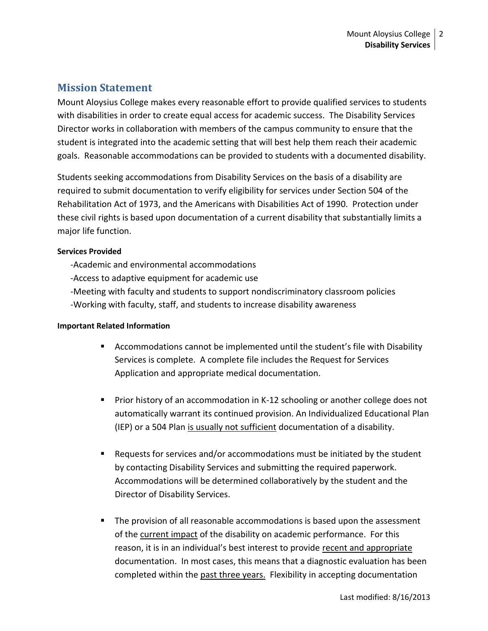## <span id="page-1-0"></span>**Mission Statement**

Mount Aloysius College makes every reasonable effort to provide qualified services to students with disabilities in order to create equal access for academic success. The Disability Services Director works in collaboration with members of the campus community to ensure that the student is integrated into the academic setting that will best help them reach their academic goals. Reasonable accommodations can be provided to students with a documented disability.

Students seeking accommodations from Disability Services on the basis of a disability are required to submit documentation to verify eligibility for services under Section 504 of the Rehabilitation Act of 1973, and the Americans with Disabilities Act of 1990. Protection under these civil rights is based upon documentation of a current disability that substantially limits a major life function.

#### **Services Provided**

-Academic and environmental accommodations

-Access to adaptive equipment for academic use

- -Meeting with faculty and students to support nondiscriminatory classroom policies
- -Working with faculty, staff, and students to increase disability awareness

#### **Important Related Information**

- Accommodations cannot be implemented until the student's file with Disability Services is complete. A complete file includes the Request for Services Application and appropriate medical documentation.
- **Prior history of an accommodation in K-12 schooling or another college does not** automatically warrant its continued provision. An Individualized Educational Plan (IEP) or a 504 Plan is usually not sufficient documentation of a disability.
- Requests for services and/or accommodations must be initiated by the student by contacting Disability Services and submitting the required paperwork. Accommodations will be determined collaboratively by the student and the Director of Disability Services.
- **The provision of all reasonable accommodations is based upon the assessment** of the current impact of the disability on academic performance. For this reason, it is in an individual's best interest to provide recent and appropriate documentation. In most cases, this means that a diagnostic evaluation has been completed within the past three years. Flexibility in accepting documentation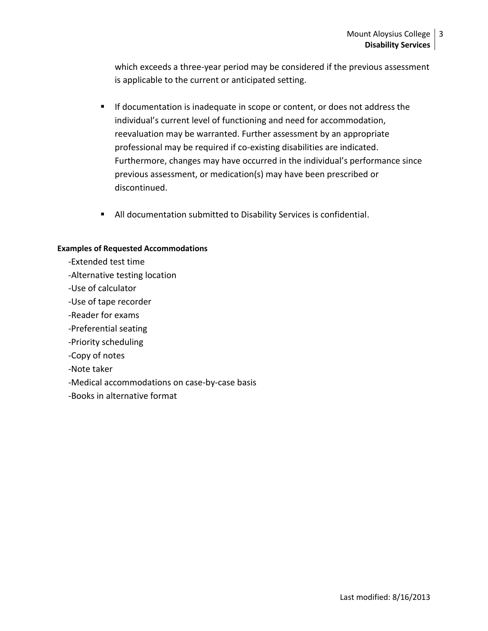which exceeds a three-year period may be considered if the previous assessment is applicable to the current or anticipated setting.

- **If documentation is inadequate in scope or content, or does not address the** individual's current level of functioning and need for accommodation, reevaluation may be warranted. Further assessment by an appropriate professional may be required if co-existing disabilities are indicated. Furthermore, changes may have occurred in the individual's performance since previous assessment, or medication(s) may have been prescribed or discontinued.
- All documentation submitted to Disability Services is confidential.

#### **Examples of Requested Accommodations**

- -Extended test time
- -Alternative testing location
- -Use of calculator
- -Use of tape recorder
- -Reader for exams
- -Preferential seating
- -Priority scheduling
- -Copy of notes
- -Note taker
- -Medical accommodations on case-by-case basis
- -Books in alternative format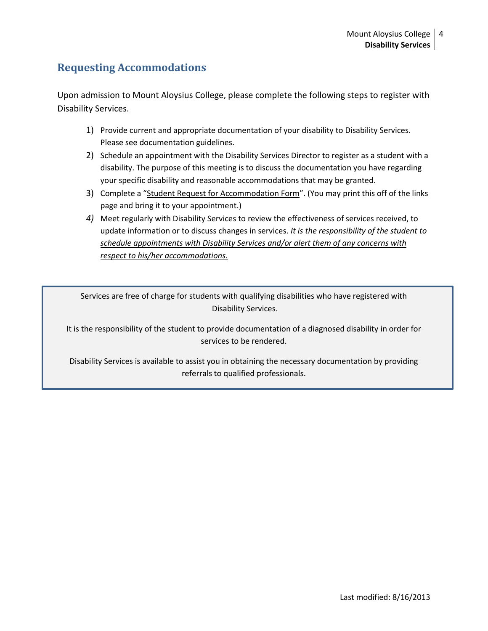# <span id="page-3-0"></span>**Requesting Accommodations**

Upon admission to Mount Aloysius College, please complete the following steps to register with Disability Services.

- 1) Provide current and appropriate documentation of your disability to Disability Services. Please see documentation guidelines.
- 2) Schedule an appointment with the Disability Services Director to register as a student with a disability. The purpose of this meeting is to discuss the documentation you have regarding your specific disability and reasonable accommodations that may be granted.
- 3) Complete a "Student Request for Accommodation Form". (You may print this off of the links page and bring it to your appointment.)
- *4)* Meet regularly with Disability Services to review the effectiveness of services received, to update information or to discuss changes in services. *It is the responsibility of the student to schedule appointments with Disability Services and/or alert them of any concerns with respect to his/her accommodations.*

Services are free of charge for students with qualifying disabilities who have registered with Disability Services.

It is the responsibility of the student to provide documentation of a diagnosed disability in order for services to be rendered.

Disability Services is available to assist you in obtaining the necessary documentation by providing referrals to qualified professionals.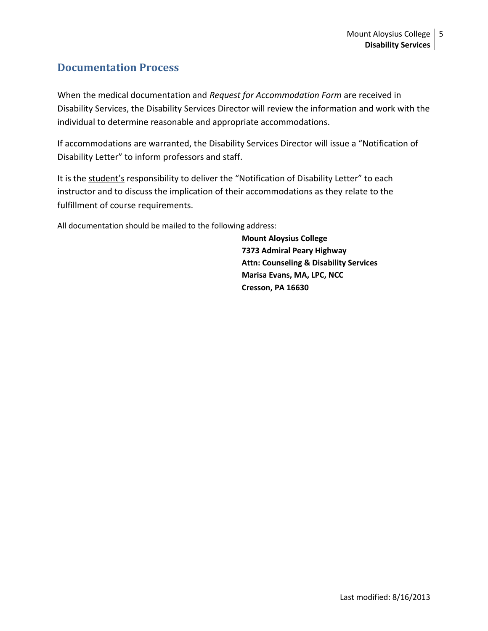## <span id="page-4-0"></span>**Documentation Process**

When the medical documentation and *Request for Accommodation Form* are received in Disability Services, the Disability Services Director will review the information and work with the individual to determine reasonable and appropriate accommodations.

If accommodations are warranted, the Disability Services Director will issue a "Notification of Disability Letter" to inform professors and staff.

It is the student's responsibility to deliver the "Notification of Disability Letter" to each instructor and to discuss the implication of their accommodations as they relate to the fulfillment of course requirements.

All documentation should be mailed to the following address:

 **Mount Aloysius College 7373 Admiral Peary Highway Attn: Counseling & Disability Services Marisa Evans, MA, LPC, NCC Cresson, PA 16630**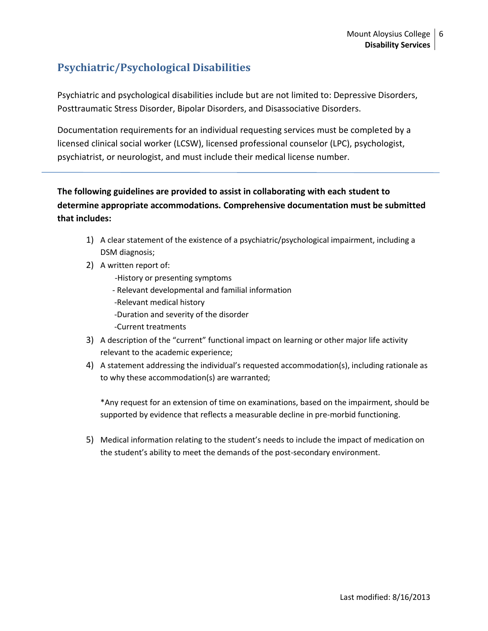# <span id="page-5-0"></span>**Psychiatric/Psychological Disabilities**

Psychiatric and psychological disabilities include but are not limited to: Depressive Disorders, Posttraumatic Stress Disorder, Bipolar Disorders, and Disassociative Disorders.

Documentation requirements for an individual requesting services must be completed by a licensed clinical social worker (LCSW), licensed professional counselor (LPC), psychologist, psychiatrist, or neurologist, and must include their medical license number.

## **The following guidelines are provided to assist in collaborating with each student to determine appropriate accommodations. Comprehensive documentation must be submitted that includes:**

- 1) A clear statement of the existence of a psychiatric/psychological impairment, including a DSM diagnosis;
- 2) A written report of:
	- -History or presenting symptoms
	- Relevant developmental and familial information
	- -Relevant medical history
	- -Duration and severity of the disorder
	- -Current treatments
- 3) A description of the "current" functional impact on learning or other major life activity relevant to the academic experience;
- 4) A statement addressing the individual's requested accommodation(s), including rationale as to why these accommodation(s) are warranted;

\*Any request for an extension of time on examinations, based on the impairment, should be supported by evidence that reflects a measurable decline in pre-morbid functioning.

5) Medical information relating to the student's needs to include the impact of medication on the student's ability to meet the demands of the post-secondary environment.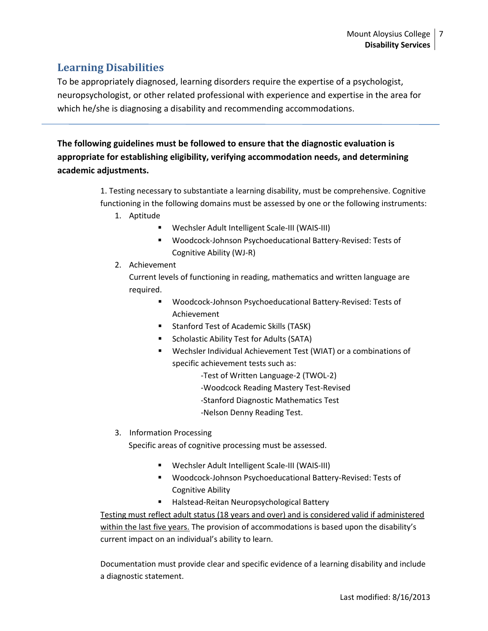# <span id="page-6-0"></span>**Learning Disabilities**

To be appropriately diagnosed, learning disorders require the expertise of a psychologist, neuropsychologist, or other related professional with experience and expertise in the area for which he/she is diagnosing a disability and recommending accommodations.

**The following guidelines must be followed to ensure that the diagnostic evaluation is appropriate for establishing eligibility, verifying accommodation needs, and determining academic adjustments.**

> 1. Testing necessary to substantiate a learning disability, must be comprehensive. Cognitive functioning in the following domains must be assessed by one or the following instruments:

- 1. Aptitude
	- Wechsler Adult Intelligent Scale-III (WAIS-III)
	- Woodcock-Johnson Psychoeducational Battery-Revised: Tests of Cognitive Ability (WJ-R)
- 2. Achievement

Current levels of functioning in reading, mathematics and written language are required.

- Woodcock-Johnson Psychoeducational Battery-Revised: Tests of Achievement
- **Stanford Test of Academic Skills (TASK)**
- **Scholastic Ability Test for Adults (SATA)**
- Wechsler Individual Achievement Test (WIAT) or a combinations of specific achievement tests such as:
	- -Test of Written Language-2 (TWOL-2)
	- -Woodcock Reading Mastery Test-Revised
	- -Stanford Diagnostic Mathematics Test
	- -Nelson Denny Reading Test.
- 3. Information Processing

Specific areas of cognitive processing must be assessed.

- Wechsler Adult Intelligent Scale-III (WAIS-III)
- Woodcock-Johnson Psychoeducational Battery-Revised: Tests of Cognitive Ability
- Halstead-Reitan Neuropsychological Battery

Testing must reflect adult status (18 years and over) and is considered valid if administered within the last five years. The provision of accommodations is based upon the disability's current impact on an individual's ability to learn.

Documentation must provide clear and specific evidence of a learning disability and include a diagnostic statement.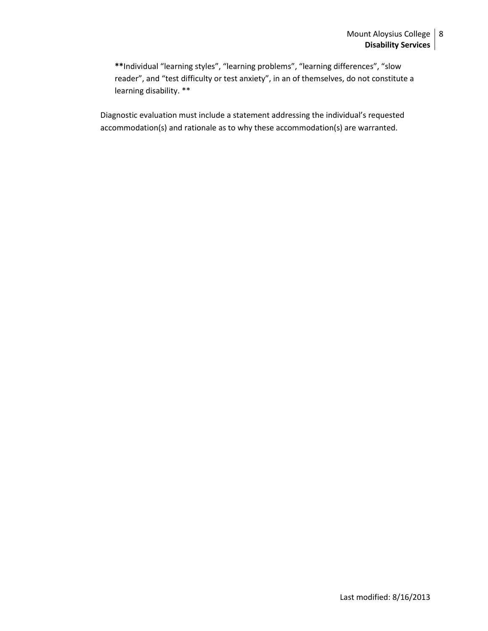**\*\***Individual "learning styles", "learning problems", "learning differences", "slow reader", and "test difficulty or test anxiety", in an of themselves, do not constitute a learning disability. \*\*

Diagnostic evaluation must include a statement addressing the individual's requested accommodation(s) and rationale as to why these accommodation(s) are warranted.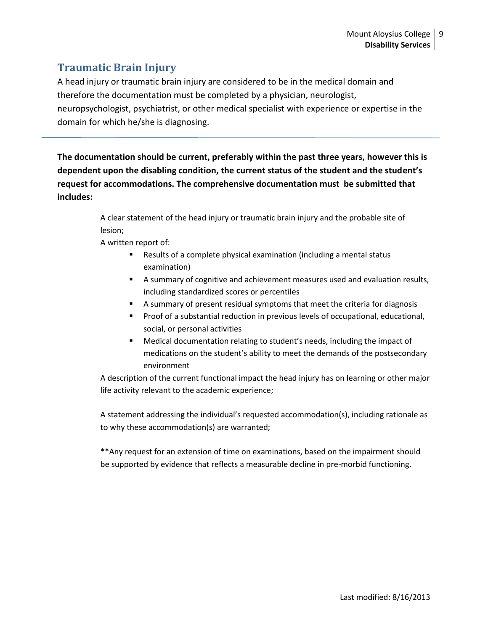# <span id="page-8-0"></span>**Traumatic Brain Injury**

A head injury or traumatic brain injury are considered to be in the medical domain and therefore the documentation must be completed by a physician, neurologist, neuropsychologist, psychiatrist, or other medical specialist with experience or expertise in the domain for which he/she is diagnosing.

**The documentation should be current, preferably within the past three years, however this is dependent upon the disabling condition, the current status of the student and the student's request for accommodations. The comprehensive documentation must be submitted that includes:**

> A clear statement of the head injury or traumatic brain injury and the probable site of lesion;

A written report of:

- Results of a complete physical examination (including a mental status examination)
- A summary of cognitive and achievement measures used and evaluation results, including standardized scores or percentiles
- A summary of present residual symptoms that meet the criteria for diagnosis
- **Proof of a substantial reduction in previous levels of occupational, educational,** social, or personal activities
- Medical documentation relating to student's needs, including the impact of medications on the student's ability to meet the demands of the postsecondary environment

A description of the current functional impact the head injury has on learning or other major life activity relevant to the academic experience;

A statement addressing the individual's requested accommodation(s), including rationale as to why these accommodation(s) are warranted;

\*\*Any request for an extension of time on examinations, based on the impairment should be supported by evidence that reflects a measurable decline in pre-morbid functioning.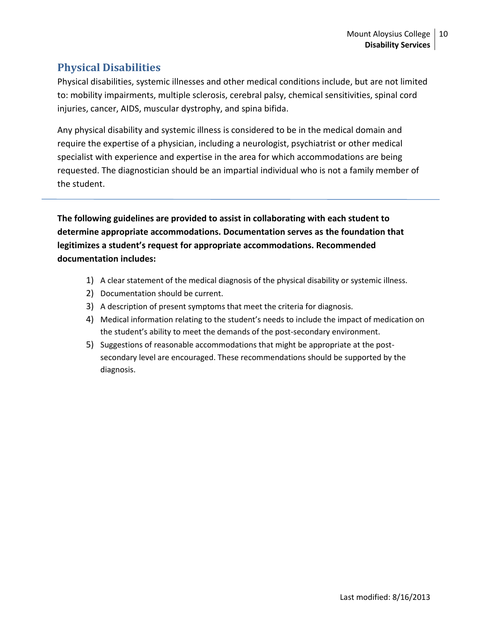# <span id="page-9-0"></span>**Physical Disabilities**

Physical disabilities, systemic illnesses and other medical conditions include, but are not limited to: mobility impairments, multiple sclerosis, cerebral palsy, chemical sensitivities, spinal cord injuries, cancer, AIDS, muscular dystrophy, and spina bifida.

Any physical disability and systemic illness is considered to be in the medical domain and require the expertise of a physician, including a neurologist, psychiatrist or other medical specialist with experience and expertise in the area for which accommodations are being requested. The diagnostician should be an impartial individual who is not a family member of the student.

**The following guidelines are provided to assist in collaborating with each student to determine appropriate accommodations. Documentation serves as the foundation that legitimizes a student's request for appropriate accommodations. Recommended documentation includes:**

- 1) A clear statement of the medical diagnosis of the physical disability or systemic illness.
- 2) Documentation should be current.
- 3) A description of present symptoms that meet the criteria for diagnosis.
- 4) Medical information relating to the student's needs to include the impact of medication on the student's ability to meet the demands of the post-secondary environment.
- 5) Suggestions of reasonable accommodations that might be appropriate at the postsecondary level are encouraged. These recommendations should be supported by the diagnosis.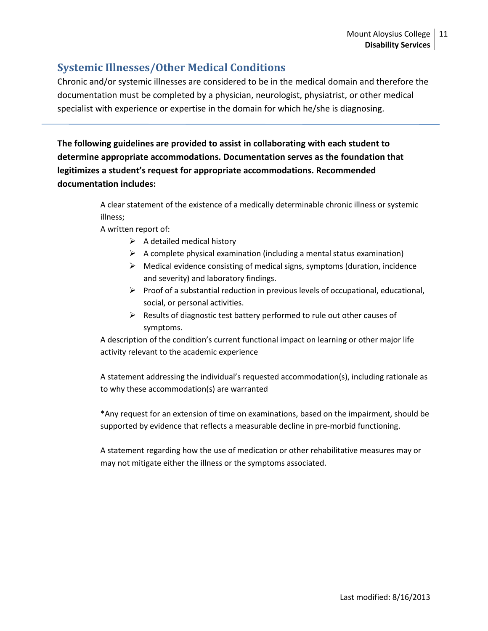# <span id="page-10-0"></span>**Systemic Illnesses/Other Medical Conditions**

Chronic and/or systemic illnesses are considered to be in the medical domain and therefore the documentation must be completed by a physician, neurologist, physiatrist, or other medical specialist with experience or expertise in the domain for which he/she is diagnosing.

**The following guidelines are provided to assist in collaborating with each student to determine appropriate accommodations. Documentation serves as the foundation that legitimizes a student's request for appropriate accommodations. Recommended documentation includes:**

> A clear statement of the existence of a medically determinable chronic illness or systemic illness;

A written report of:

- $\triangleright$  A detailed medical history
- $\triangleright$  A complete physical examination (including a mental status examination)
- $\triangleright$  Medical evidence consisting of medical signs, symptoms (duration, incidence and severity) and laboratory findings.
- $\triangleright$  Proof of a substantial reduction in previous levels of occupational, educational, social, or personal activities.
- $\triangleright$  Results of diagnostic test battery performed to rule out other causes of symptoms.

A description of the condition's current functional impact on learning or other major life activity relevant to the academic experience

A statement addressing the individual's requested accommodation(s), including rationale as to why these accommodation(s) are warranted

\*Any request for an extension of time on examinations, based on the impairment, should be supported by evidence that reflects a measurable decline in pre-morbid functioning.

A statement regarding how the use of medication or other rehabilitative measures may or may not mitigate either the illness or the symptoms associated.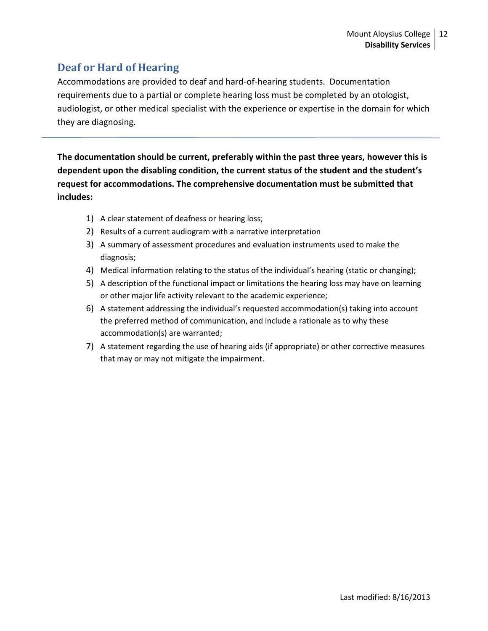# <span id="page-11-0"></span>**Deaf or Hard of Hearing**

Accommodations are provided to deaf and hard-of-hearing students. Documentation requirements due to a partial or complete hearing loss must be completed by an otologist, audiologist, or other medical specialist with the experience or expertise in the domain for which they are diagnosing.

**The documentation should be current, preferably within the past three years, however this is dependent upon the disabling condition, the current status of the student and the student's request for accommodations. The comprehensive documentation must be submitted that includes:**

- 1) A clear statement of deafness or hearing loss;
- 2) Results of a current audiogram with a narrative interpretation
- 3) A summary of assessment procedures and evaluation instruments used to make the diagnosis;
- 4) Medical information relating to the status of the individual's hearing (static or changing);
- 5) A description of the functional impact or limitations the hearing loss may have on learning or other major life activity relevant to the academic experience;
- 6) A statement addressing the individual's requested accommodation(s) taking into account the preferred method of communication, and include a rationale as to why these accommodation(s) are warranted;
- 7) A statement regarding the use of hearing aids (if appropriate) or other corrective measures that may or may not mitigate the impairment.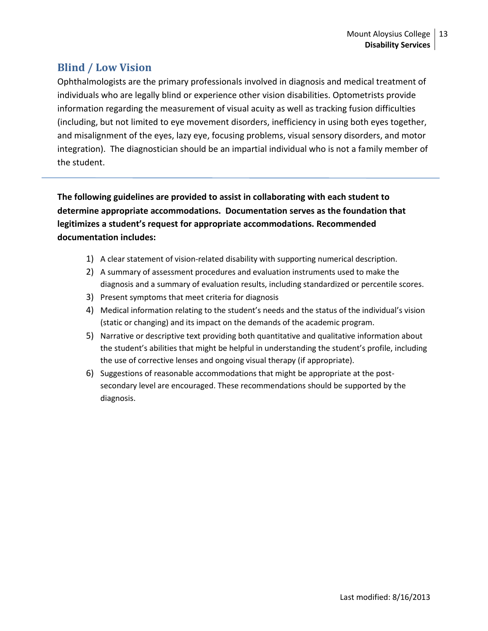## <span id="page-12-0"></span>**Blind / Low Vision**

Ophthalmologists are the primary professionals involved in diagnosis and medical treatment of individuals who are legally blind or experience other vision disabilities. Optometrists provide information regarding the measurement of visual acuity as well as tracking fusion difficulties (including, but not limited to eye movement disorders, inefficiency in using both eyes together, and misalignment of the eyes, lazy eye, focusing problems, visual sensory disorders, and motor integration). The diagnostician should be an impartial individual who is not a family member of the student.

**The following guidelines are provided to assist in collaborating with each student to determine appropriate accommodations. Documentation serves as the foundation that legitimizes a student's request for appropriate accommodations. Recommended documentation includes:**

- 1) A clear statement of vision-related disability with supporting numerical description.
- 2) A summary of assessment procedures and evaluation instruments used to make the diagnosis and a summary of evaluation results, including standardized or percentile scores.
- 3) Present symptoms that meet criteria for diagnosis
- 4) Medical information relating to the student's needs and the status of the individual's vision (static or changing) and its impact on the demands of the academic program.
- 5) Narrative or descriptive text providing both quantitative and qualitative information about the student's abilities that might be helpful in understanding the student's profile, including the use of corrective lenses and ongoing visual therapy (if appropriate).
- 6) Suggestions of reasonable accommodations that might be appropriate at the postsecondary level are encouraged. These recommendations should be supported by the diagnosis.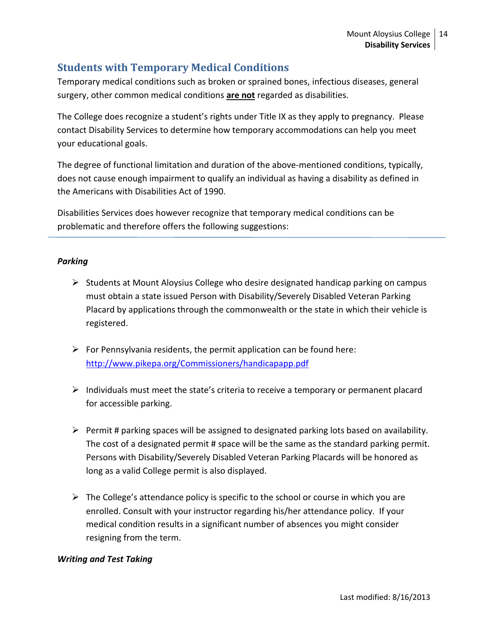# <span id="page-13-0"></span>**Students with Temporary Medical Conditions**

Temporary medical conditions such as broken or sprained bones, infectious diseases, general surgery, other common medical conditions **are not** regarded as disabilities.

The College does recognize a student's rights under Title IX as they apply to pregnancy. Please contact Disability Services to determine how temporary accommodations can help you meet your educational goals.

The degree of functional limitation and duration of the above-mentioned conditions, typically, does not cause enough impairment to qualify an individual as having a disability as defined in the Americans with Disabilities Act of 1990.

Disabilities Services does however recognize that temporary medical conditions can be problematic and therefore offers the following suggestions:

### *Parking*

- $\triangleright$  Students at Mount Aloysius College who desire designated handicap parking on campus must obtain a state issued Person with Disability/Severely Disabled Veteran Parking Placard by applications through the commonwealth or the state in which their vehicle is registered.
- $\triangleright$  For Pennsylvania residents, the permit application can be found here: <http://www.pikepa.org/Commissioners/handicapapp.pdf>
- $\triangleright$  Individuals must meet the state's criteria to receive a temporary or permanent placard for accessible parking.
- $\triangleright$  Permit # parking spaces will be assigned to designated parking lots based on availability. The cost of a designated permit # space will be the same as the standard parking permit. Persons with Disability/Severely Disabled Veteran Parking Placards will be honored as long as a valid College permit is also displayed.
- $\triangleright$  The College's attendance policy is specific to the school or course in which you are enrolled. Consult with your instructor regarding his/her attendance policy. If your medical condition results in a significant number of absences you might consider resigning from the term.

## *Writing and Test Taking*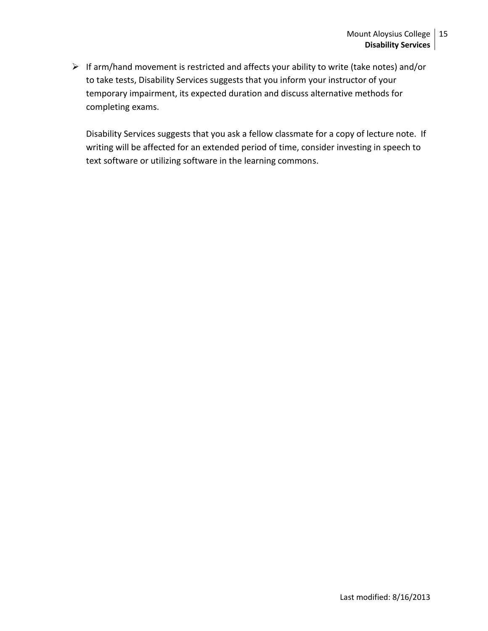$\triangleright$  If arm/hand movement is restricted and affects your ability to write (take notes) and/or to take tests, Disability Services suggests that you inform your instructor of your temporary impairment, its expected duration and discuss alternative methods for completing exams.

Disability Services suggests that you ask a fellow classmate for a copy of lecture note. If writing will be affected for an extended period of time, consider investing in speech to text software or utilizing software in the learning commons.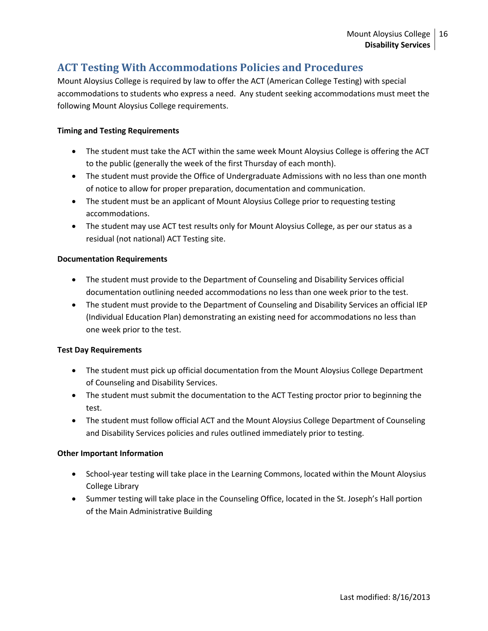## <span id="page-15-0"></span>**ACT Testing With Accommodations Policies and Procedures**

Mount Aloysius College is required by law to offer the ACT (American College Testing) with special accommodations to students who express a need. Any student seeking accommodations must meet the following Mount Aloysius College requirements.

#### **Timing and Testing Requirements**

- The student must take the ACT within the same week Mount Aloysius College is offering the ACT to the public (generally the week of the first Thursday of each month).
- The student must provide the Office of Undergraduate Admissions with no less than one month of notice to allow for proper preparation, documentation and communication.
- The student must be an applicant of Mount Aloysius College prior to requesting testing accommodations.
- The student may use ACT test results only for Mount Aloysius College, as per our status as a residual (not national) ACT Testing site.

#### **Documentation Requirements**

- The student must provide to the Department of Counseling and Disability Services official documentation outlining needed accommodations no less than one week prior to the test.
- The student must provide to the Department of Counseling and Disability Services an official IEP (Individual Education Plan) demonstrating an existing need for accommodations no less than one week prior to the test.

#### **Test Day Requirements**

- The student must pick up official documentation from the Mount Aloysius College Department of Counseling and Disability Services.
- The student must submit the documentation to the ACT Testing proctor prior to beginning the test.
- The student must follow official ACT and the Mount Aloysius College Department of Counseling and Disability Services policies and rules outlined immediately prior to testing.

#### **Other Important Information**

- School-year testing will take place in the Learning Commons, located within the Mount Aloysius College Library
- Summer testing will take place in the Counseling Office, located in the St. Joseph's Hall portion of the Main Administrative Building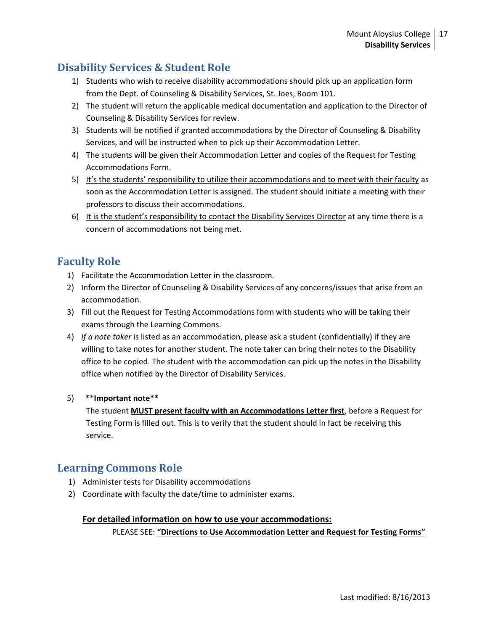# <span id="page-16-0"></span>**Disability Services & Student Role**

- 1) Students who wish to receive disability accommodations should pick up an application form from the Dept. of Counseling & Disability Services, St. Joes, Room 101.
- 2) The student will return the applicable medical documentation and application to the Director of Counseling & Disability Services for review.
- 3) Students will be notified if granted accommodations by the Director of Counseling & Disability Services, and will be instructed when to pick up their Accommodation Letter.
- 4) The students will be given their Accommodation Letter and copies of the Request for Testing Accommodations Form.
- 5) It's the students' responsibility to utilize their accommodations and to meet with their faculty as soon as the Accommodation Letter is assigned. The student should initiate a meeting with their professors to discuss their accommodations.
- 6) It is the student's responsibility to contact the Disability Services Director at any time there is a concern of accommodations not being met.

## <span id="page-16-1"></span>**Faculty Role**

- 1) Facilitate the Accommodation Letter in the classroom.
- 2) Inform the Director of Counseling & Disability Services of any concerns/issues that arise from an accommodation.
- 3) Fill out the Request for Testing Accommodations form with students who will be taking their exams through the Learning Commons.
- 4) *If a note taker* is listed as an accommodation, please ask a student (confidentially) if they are willing to take notes for another student. The note taker can bring their notes to the Disability office to be copied. The student with the accommodation can pick up the notes in the Disability office when notified by the Director of Disability Services.

## 5) \*\***Important note\*\***

The student **MUST present faculty with an Accommodations Letter first**, before a Request for Testing Form is filled out. This is to verify that the student should in fact be receiving this service.

## <span id="page-16-2"></span>**Learning Commons Role**

- 1) Administer tests for Disability accommodations
- 2) Coordinate with faculty the date/time to administer exams.

#### **For detailed information on how to use your accommodations:**

PLEASE SEE: **"Directions to Use Accommodation Letter and Request for Testing Forms"**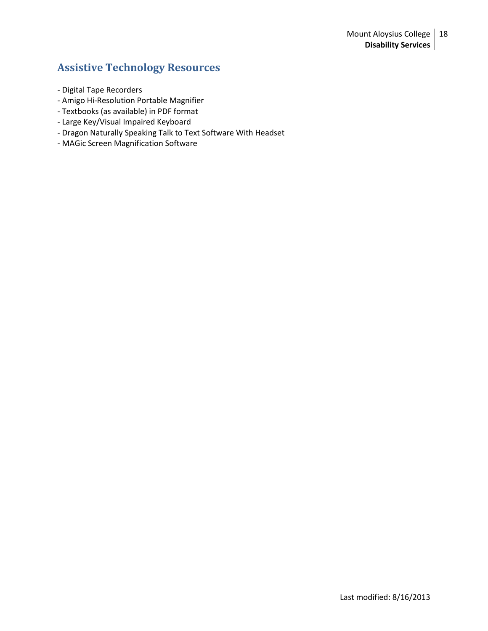# <span id="page-17-0"></span>**Assistive Technology Resources**

- Digital Tape Recorders
- Amigo Hi-Resolution Portable Magnifier
- Textbooks (as available) in PDF format
- Large Key/Visual Impaired Keyboard
- Dragon Naturally Speaking Talk to Text Software With Headset
- MAGic Screen Magnification Software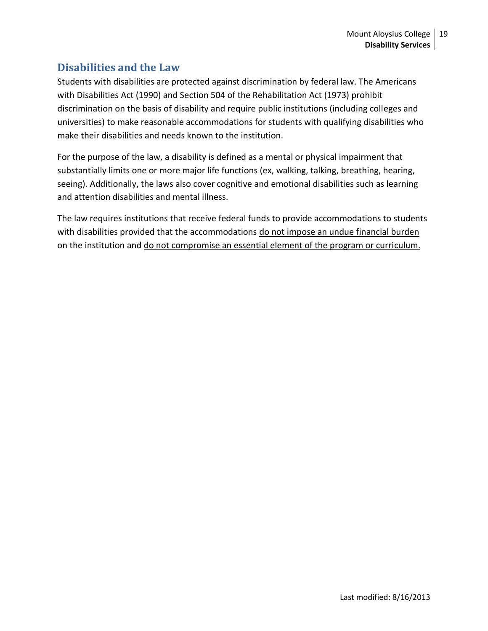## <span id="page-18-0"></span>**Disabilities and the Law**

Students with disabilities are protected against discrimination by federal law. The Americans with Disabilities Act (1990) and Section 504 of the Rehabilitation Act (1973) prohibit discrimination on the basis of disability and require public institutions (including colleges and universities) to make reasonable accommodations for students with qualifying disabilities who make their disabilities and needs known to the institution.

For the purpose of the law, a disability is defined as a mental or physical impairment that substantially limits one or more major life functions (ex, walking, talking, breathing, hearing, seeing). Additionally, the laws also cover cognitive and emotional disabilities such as learning and attention disabilities and mental illness.

The law requires institutions that receive federal funds to provide accommodations to students with disabilities provided that the accommodations do not impose an undue financial burden on the institution and do not compromise an essential element of the program or curriculum.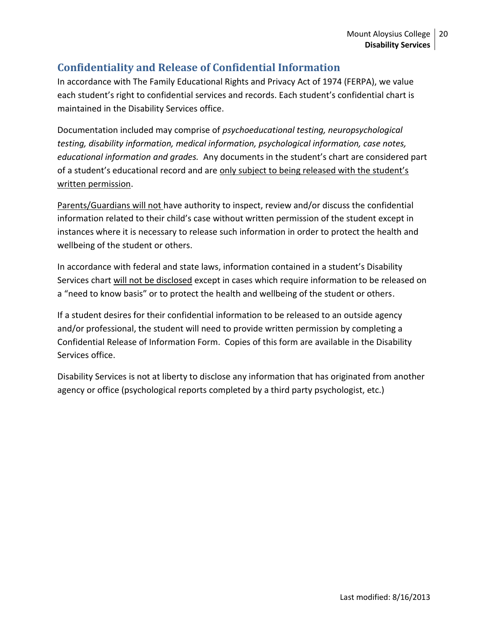# <span id="page-19-0"></span>**Confidentiality and Release of Confidential Information**

In accordance with The Family Educational Rights and Privacy Act of 1974 (FERPA), we value each student's right to confidential services and records. Each student's confidential chart is maintained in the Disability Services office.

Documentation included may comprise of *psychoeducational testing, neuropsychological testing, disability information, medical information, psychological information, case notes, educational information and grades.* Any documents in the student's chart are considered part of a student's educational record and are only subject to being released with the student's written permission.

Parents/Guardians will not have authority to inspect, review and/or discuss the confidential information related to their child's case without written permission of the student except in instances where it is necessary to release such information in order to protect the health and wellbeing of the student or others.

In accordance with federal and state laws, information contained in a student's Disability Services chart will not be disclosed except in cases which require information to be released on a "need to know basis" or to protect the health and wellbeing of the student or others.

If a student desires for their confidential information to be released to an outside agency and/or professional, the student will need to provide written permission by completing a Confidential Release of Information Form. Copies of this form are available in the Disability Services office.

Disability Services is not at liberty to disclose any information that has originated from another agency or office (psychological reports completed by a third party psychologist, etc.)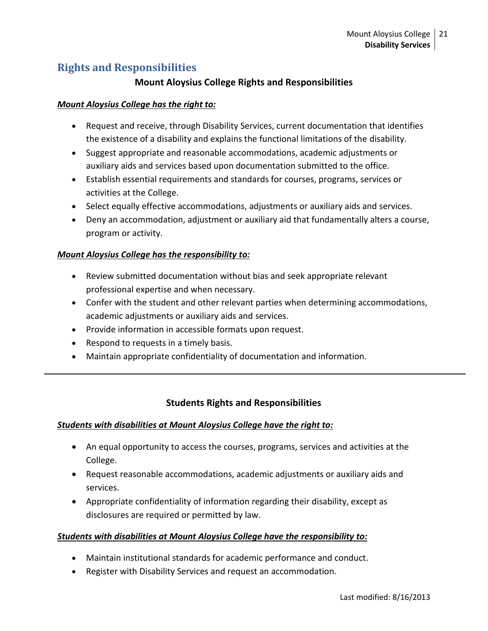# <span id="page-20-0"></span>**Rights and Responsibilities**

## **Mount Aloysius College Rights and Responsibilities**

## *Mount Aloysius College has the right to:*

- Request and receive, through Disability Services, current documentation that identifies the existence of a disability and explains the functional limitations of the disability.
- Suggest appropriate and reasonable accommodations, academic adjustments or auxiliary aids and services based upon documentation submitted to the office.
- Establish essential requirements and standards for courses, programs, services or activities at the College.
- Select equally effective accommodations, adjustments or auxiliary aids and services.
- Deny an accommodation, adjustment or auxiliary aid that fundamentally alters a course, program or activity.

## *Mount Aloysius College has the responsibility to:*

- Review submitted documentation without bias and seek appropriate relevant professional expertise and when necessary.
- Confer with the student and other relevant parties when determining accommodations, academic adjustments or auxiliary aids and services.
- Provide information in accessible formats upon request.
- Respond to requests in a timely basis.
- Maintain appropriate confidentiality of documentation and information.

## **Students Rights and Responsibilities**

## *Students with disabilities at Mount Aloysius College have the right to:*

- An equal opportunity to access the courses, programs, services and activities at the College.
- Request reasonable accommodations, academic adjustments or auxiliary aids and services.
- Appropriate confidentiality of information regarding their disability, except as disclosures are required or permitted by law.

## *Students with disabilities at Mount Aloysius College have the responsibility to:*

- Maintain institutional standards for academic performance and conduct.
- Register with Disability Services and request an accommodation.